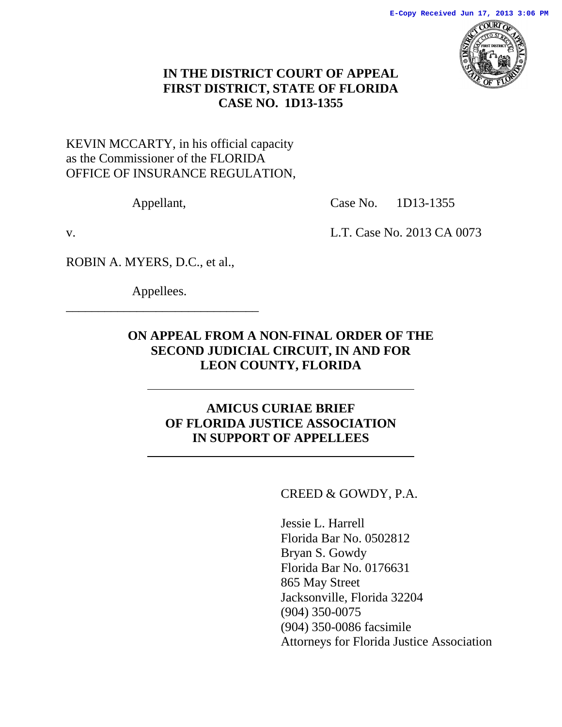

# **IN THE DISTRICT COURT OF APPEAL FIRST DISTRICT, STATE OF FLORIDA CASE NO. 1D13-1355**

# KEVIN MCCARTY, in his official capacity as the Commissioner of the FLORIDA OFFICE OF INSURANCE REGULATION,

Appellant, Case No. 1D13-1355

v. L.T. Case No. 2013 CA 0073

ROBIN A. MYERS, D.C., et al.,

Appellees. \_\_\_\_\_\_\_\_\_\_\_\_\_\_\_\_\_\_\_\_\_\_\_\_\_\_\_\_\_\_

# **ON APPEAL FROM A NON-FINAL ORDER OF THE SECOND JUDICIAL CIRCUIT, IN AND FOR LEON COUNTY, FLORIDA**

# **AMICUS CURIAE BRIEF OF FLORIDA JUSTICE ASSOCIATION IN SUPPORT OF APPELLEES**

CREED & GOWDY, P.A.

Jessie L. Harrell Florida Bar No. 0502812 Bryan S. Gowdy Florida Bar No. 0176631 865 May Street Jacksonville, Florida 32204 (904) 350-0075 (904) 350-0086 facsimile Attorneys for Florida Justice Association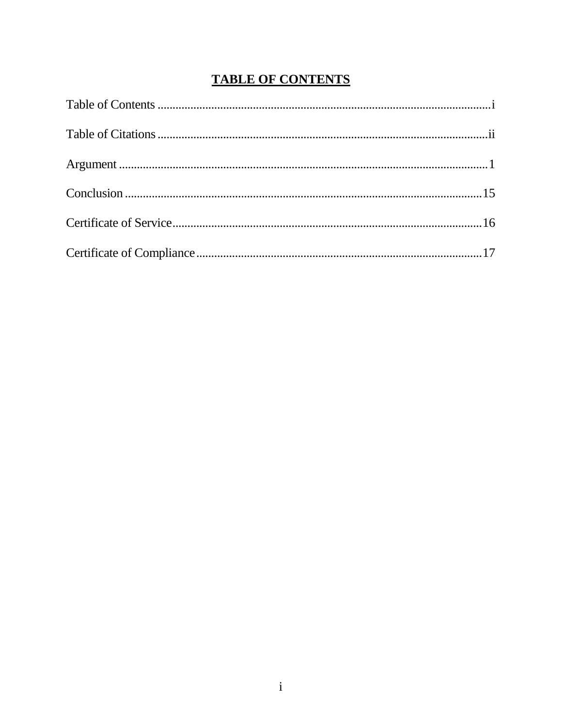# **TABLE OF CONTENTS**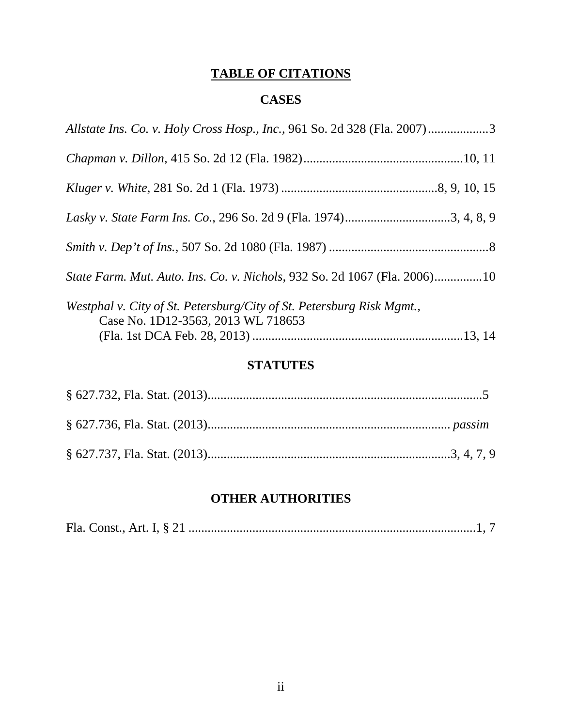# **TABLE OF CITATIONS**

# **CASES**

| Allstate Ins. Co. v. Holy Cross Hosp., Inc., 961 So. 2d 328 (Fla. 2007)3                                    |
|-------------------------------------------------------------------------------------------------------------|
|                                                                                                             |
|                                                                                                             |
| Lasky v. State Farm Ins. Co., 296 So. 2d 9 (Fla. 1974)3, 4, 8, 9                                            |
|                                                                                                             |
| State Farm. Mut. Auto. Ins. Co. v. Nichols, 932 So. 2d 1067 (Fla. 2006)10                                   |
| Westphal v. City of St. Petersburg/City of St. Petersburg Risk Mgmt.,<br>Case No. 1D12-3563, 2013 WL 718653 |

# **STATUTES**

# **OTHER AUTHORITIES**

|--|--|--|--|--|--|--|--|--|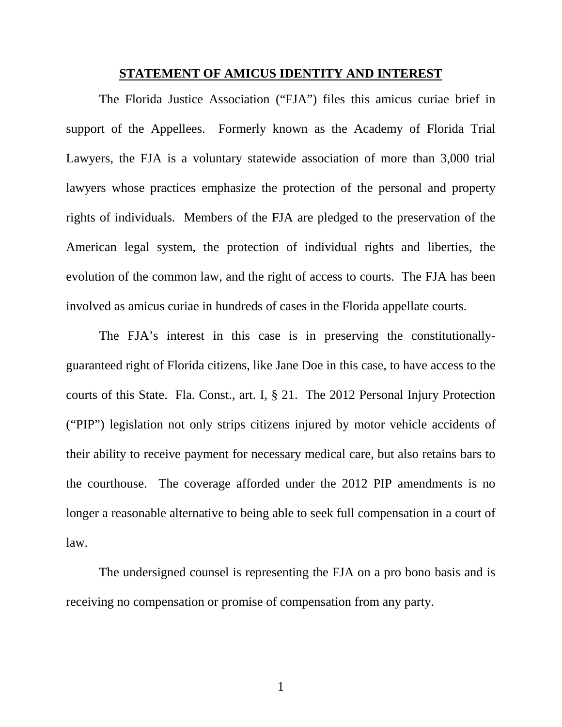#### **STATEMENT OF AMICUS IDENTITY AND INTEREST**

The Florida Justice Association ("FJA") files this amicus curiae brief in support of the Appellees. Formerly known as the Academy of Florida Trial Lawyers, the FJA is a voluntary statewide association of more than 3,000 trial lawyers whose practices emphasize the protection of the personal and property rights of individuals. Members of the FJA are pledged to the preservation of the American legal system, the protection of individual rights and liberties, the evolution of the common law, and the right of access to courts. The FJA has been involved as amicus curiae in hundreds of cases in the Florida appellate courts.

The FJA's interest in this case is in preserving the constitutionallyguaranteed right of Florida citizens, like Jane Doe in this case, to have access to the courts of this State. Fla. Const., art. I, § 21. The 2012 Personal Injury Protection ("PIP") legislation not only strips citizens injured by motor vehicle accidents of their ability to receive payment for necessary medical care, but also retains bars to the courthouse. The coverage afforded under the 2012 PIP amendments is no longer a reasonable alternative to being able to seek full compensation in a court of law.

The undersigned counsel is representing the FJA on a pro bono basis and is receiving no compensation or promise of compensation from any party.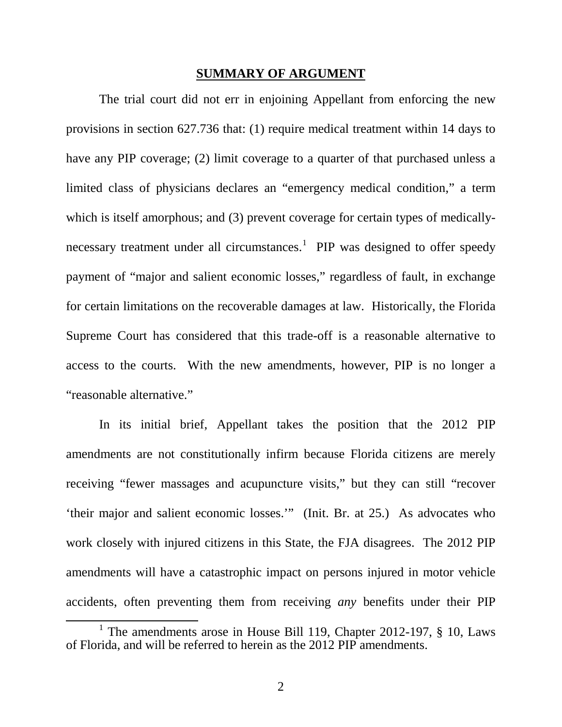#### **SUMMARY OF ARGUMENT**

The trial court did not err in enjoining Appellant from enforcing the new provisions in section 627.736 that: (1) require medical treatment within 14 days to have any PIP coverage; (2) limit coverage to a quarter of that purchased unless a limited class of physicians declares an "emergency medical condition," a term which is itself amorphous; and (3) prevent coverage for certain types of medically-necessary treatment under all circumstances.<sup>[1](#page-4-0)</sup> PIP was designed to offer speedy payment of "major and salient economic losses," regardless of fault, in exchange for certain limitations on the recoverable damages at law. Historically, the Florida Supreme Court has considered that this trade-off is a reasonable alternative to access to the courts. With the new amendments, however, PIP is no longer a "reasonable alternative."

In its initial brief, Appellant takes the position that the 2012 PIP amendments are not constitutionally infirm because Florida citizens are merely receiving "fewer massages and acupuncture visits," but they can still "recover 'their major and salient economic losses.'" (Init. Br. at 25.) As advocates who work closely with injured citizens in this State, the FJA disagrees. The 2012 PIP amendments will have a catastrophic impact on persons injured in motor vehicle accidents, often preventing them from receiving *any* benefits under their PIP

<span id="page-4-0"></span><sup>&</sup>lt;sup>1</sup> The amendments arose in House Bill 119, Chapter 2012-197,  $\S$  10, Laws of Florida, and will be referred to herein as the 2012 PIP amendments.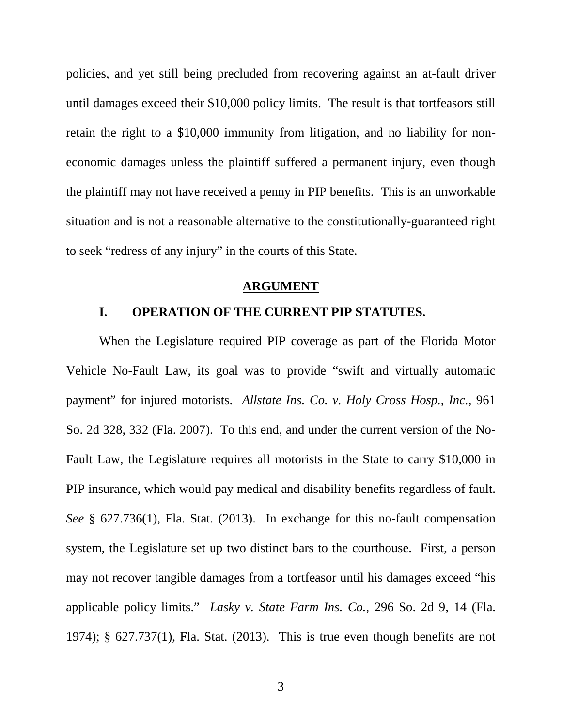policies, and yet still being precluded from recovering against an at-fault driver until damages exceed their \$10,000 policy limits. The result is that tortfeasors still retain the right to a \$10,000 immunity from litigation, and no liability for noneconomic damages unless the plaintiff suffered a permanent injury, even though the plaintiff may not have received a penny in PIP benefits. This is an unworkable situation and is not a reasonable alternative to the constitutionally-guaranteed right to seek "redress of any injury" in the courts of this State.

#### **ARGUMENT**

## **I. OPERATION OF THE CURRENT PIP STATUTES.**

When the Legislature required PIP coverage as part of the Florida Motor Vehicle No-Fault Law, its goal was to provide "swift and virtually automatic payment" for injured motorists. *Allstate Ins. Co. v. Holy Cross Hosp., Inc.*, 961 So. 2d 328, 332 (Fla. 2007). To this end, and under the current version of the No-Fault Law, the Legislature requires all motorists in the State to carry \$10,000 in PIP insurance, which would pay medical and disability benefits regardless of fault. *See* § 627.736(1), Fla. Stat. (2013). In exchange for this no-fault compensation system, the Legislature set up two distinct bars to the courthouse. First, a person may not recover tangible damages from a tortfeasor until his damages exceed "his applicable policy limits." *Lasky v. State Farm Ins. Co.*, 296 So. 2d 9, 14 (Fla. 1974); § 627.737(1), Fla. Stat. (2013). This is true even though benefits are not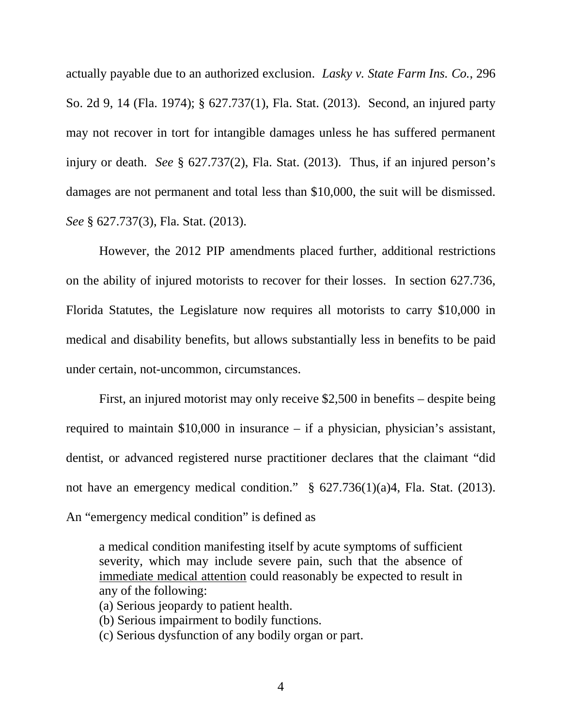actually payable due to an authorized exclusion. *Lasky v. State Farm Ins. Co.*, 296 So. 2d 9, 14 (Fla. 1974); § 627.737(1), Fla. Stat. (2013). Second, an injured party may not recover in tort for intangible damages unless he has suffered permanent injury or death. *See* § 627.737(2), Fla. Stat. (2013). Thus, if an injured person's damages are not permanent and total less than \$10,000, the suit will be dismissed. *See* § 627.737(3), Fla. Stat. (2013).

However, the 2012 PIP amendments placed further, additional restrictions on the ability of injured motorists to recover for their losses. In section 627.736, Florida Statutes, the Legislature now requires all motorists to carry \$10,000 in medical and disability benefits, but allows substantially less in benefits to be paid under certain, not-uncommon, circumstances.

First, an injured motorist may only receive \$2,500 in benefits – despite being required to maintain \$10,000 in insurance – if a physician, physician's assistant, dentist, or advanced registered nurse practitioner declares that the claimant "did not have an emergency medical condition." § 627.736(1)(a)4, Fla. Stat. (2013). An "emergency medical condition" is defined as

a medical condition manifesting itself by acute symptoms of sufficient severity, which may include severe pain, such that the absence of immediate medical attention could reasonably be expected to result in any of the following:

(a) Serious jeopardy to patient health.

(b) Serious impairment to bodily functions.

(c) Serious dysfunction of any bodily organ or part.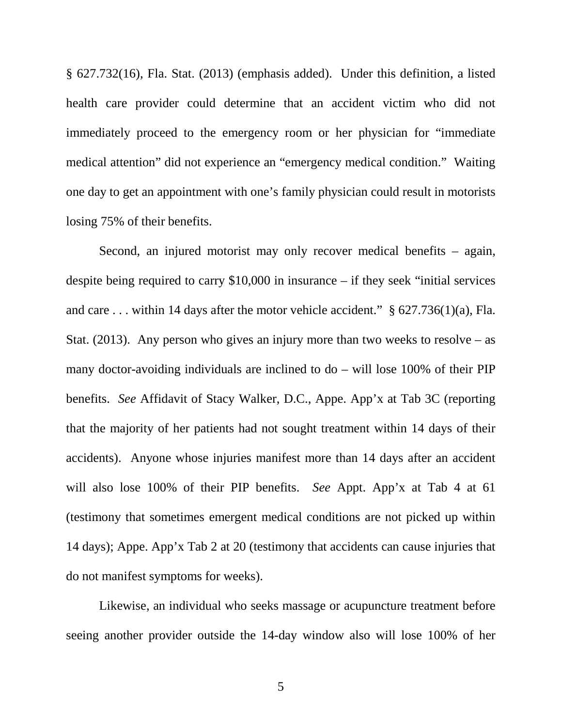§ 627.732(16), Fla. Stat. (2013) (emphasis added). Under this definition, a listed health care provider could determine that an accident victim who did not immediately proceed to the emergency room or her physician for "immediate medical attention" did not experience an "emergency medical condition." Waiting one day to get an appointment with one's family physician could result in motorists losing 75% of their benefits.

Second, an injured motorist may only recover medical benefits – again, despite being required to carry \$10,000 in insurance – if they seek "initial services and care . . . within 14 days after the motor vehicle accident."  $\S$  627.736(1)(a), Fla. Stat. (2013). Any person who gives an injury more than two weeks to resolve – as many doctor-avoiding individuals are inclined to do – will lose 100% of their PIP benefits. *See* Affidavit of Stacy Walker, D.C., Appe. App'x at Tab 3C (reporting that the majority of her patients had not sought treatment within 14 days of their accidents). Anyone whose injuries manifest more than 14 days after an accident will also lose 100% of their PIP benefits. *See* Appt. App'x at Tab 4 at 61 (testimony that sometimes emergent medical conditions are not picked up within 14 days); Appe. App'x Tab 2 at 20 (testimony that accidents can cause injuries that do not manifest symptoms for weeks).

Likewise, an individual who seeks massage or acupuncture treatment before seeing another provider outside the 14-day window also will lose 100% of her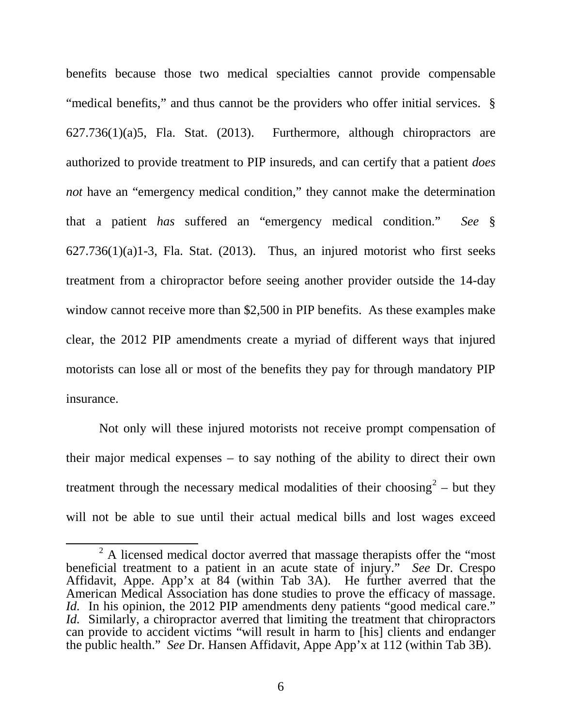benefits because those two medical specialties cannot provide compensable "medical benefits," and thus cannot be the providers who offer initial services. § 627.736(1)(a)5, Fla. Stat. (2013). Furthermore, although chiropractors are authorized to provide treatment to PIP insureds, and can certify that a patient *does not* have an "emergency medical condition," they cannot make the determination that a patient *has* suffered an "emergency medical condition." *See* §  $627.736(1)(a)1-3$ , Fla. Stat. (2013). Thus, an injured motorist who first seeks treatment from a chiropractor before seeing another provider outside the 14-day window cannot receive more than \$2,500 in PIP benefits. As these examples make clear, the 2012 PIP amendments create a myriad of different ways that injured motorists can lose all or most of the benefits they pay for through mandatory PIP insurance.

Not only will these injured motorists not receive prompt compensation of their major medical expenses – to say nothing of the ability to direct their own treatment through the necessary medical modalities of their choosing<sup>[2](#page-8-0)</sup> – but they will not be able to sue until their actual medical bills and lost wages exceed

<span id="page-8-0"></span> $2 \text{ A}$  licensed medical doctor averred that massage therapists offer the "most" beneficial treatment to a patient in an acute state of injury." *See* Dr. Crespo Affidavit, Appe. App'x at 84 (within Tab 3A). He further averred that the American Medical Association has done studies to prove the efficacy of massage. *Id.* In his opinion, the 2012 PIP amendments deny patients "good medical care." *Id.* Similarly, a chiropractor averred that limiting the treatment that chiropractors can provide to accident victims "will result in harm to [his] clients and endanger the public health." *See* Dr. Hansen Affidavit, Appe App'x at 112 (within Tab 3B).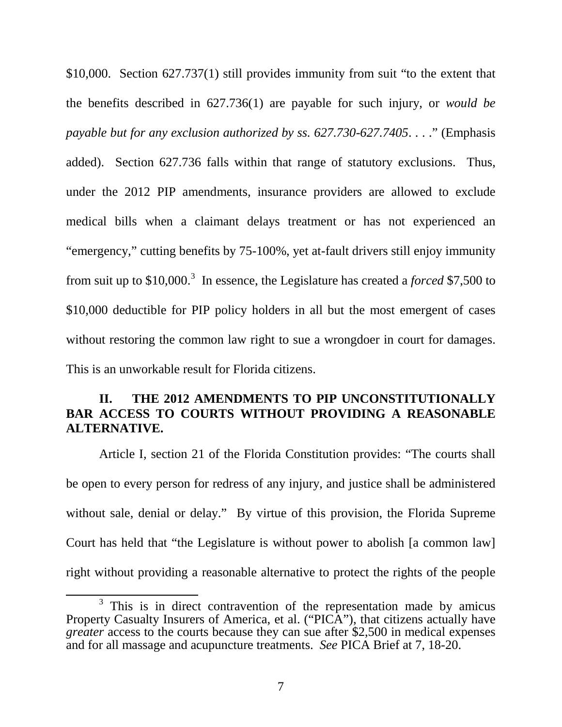\$10,000. Section 627.737(1) still provides immunity from suit "to the extent that the benefits described in 627.736(1) are payable for such injury, or *would be payable but for any exclusion authorized by ss. 627.730-627.7405*. . . ." (Emphasis added). Section 627.736 falls within that range of statutory exclusions. Thus, under the 2012 PIP amendments, insurance providers are allowed to exclude medical bills when a claimant delays treatment or has not experienced an "emergency," cutting benefits by 75-100%, yet at-fault drivers still enjoy immunity from suit up to \$10,000.<sup>[3](#page-9-0)</sup> In essence, the Legislature has created a *forced* \$7,500 to \$10,000 deductible for PIP policy holders in all but the most emergent of cases without restoring the common law right to sue a wrongdoer in court for damages. This is an unworkable result for Florida citizens.

## **II. THE 2012 AMENDMENTS TO PIP UNCONSTITUTIONALLY BAR ACCESS TO COURTS WITHOUT PROVIDING A REASONABLE ALTERNATIVE.**

Article I, section 21 of the Florida Constitution provides: "The courts shall be open to every person for redress of any injury, and justice shall be administered without sale, denial or delay." By virtue of this provision, the Florida Supreme Court has held that "the Legislature is without power to abolish [a common law] right without providing a reasonable alternative to protect the rights of the people

<span id="page-9-0"></span> $3$  This is in direct contravention of the representation made by amicus Property Casualty Insurers of America, et al. ("PICA"), that citizens actually have *greater* access to the courts because they can sue after \$2,500 in medical expenses and for all massage and acupuncture treatments. *See* PICA Brief at 7, 18-20.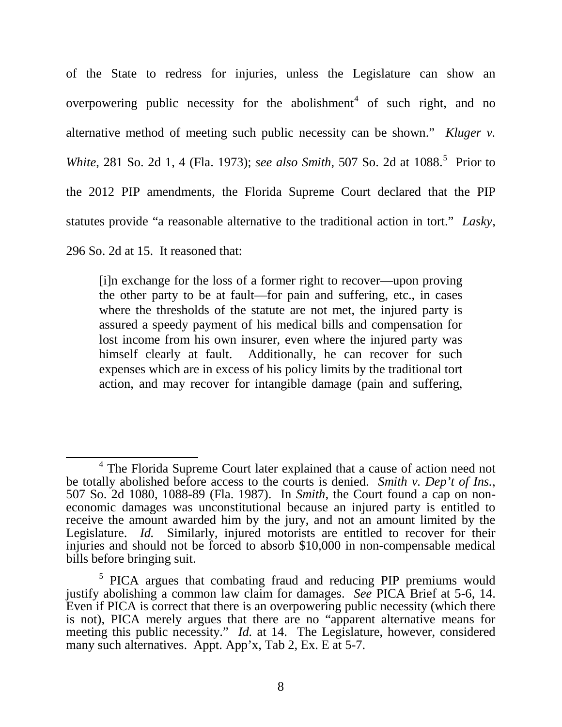of the State to redress for injuries, unless the Legislature can show an overpowering public necessity for the abolishment<sup>[4](#page-10-0)</sup> of such right, and no alternative method of meeting such public necessity can be shown." *Kluger v. White*, 281 So. 2d 1, 4 (Fla. 1973); *see also Smith*, [5](#page-10-1)07 So. 2d at 1088.<sup>5</sup> Prior to the 2012 PIP amendments, the Florida Supreme Court declared that the PIP statutes provide "a reasonable alternative to the traditional action in tort." *Lasky*,

296 So. 2d at 15. It reasoned that:

[i]n exchange for the loss of a former right to recover—upon proving the other party to be at fault—for pain and suffering, etc., in cases where the thresholds of the statute are not met, the injured party is assured a speedy payment of his medical bills and compensation for lost income from his own insurer, even where the injured party was himself clearly at fault. Additionally, he can recover for such expenses which are in excess of his policy limits by the traditional tort action, and may recover for intangible damage (pain and suffering,

<span id="page-10-0"></span><sup>&</sup>lt;sup>4</sup> The Florida Supreme Court later explained that a cause of action need not be totally abolished before access to the courts is denied. *Smith v. Dep't of Ins.*, be totally abolished before access to the courts is denied. *Smith v. Dep't of Ins.*, 507 So. 2d 1080, 1088-89 (Fla. 1987). In *Smith*, the Court found a cap on noneconomic damages was unconstitutional because an injured party is entitled to receive the amount awarded him by the jury, and not an amount limited by the Legislature. *Id.* Similarly, injured motorists are entitled to recover for their injuries and should not be forced to absorb \$10,000 in non-compensable medical bills before bringing suit.

<span id="page-10-1"></span><sup>5</sup> PICA argues that combating fraud and reducing PIP premiums would justify abolishing a common law claim for damages. *See* PICA Brief at 5-6, 14. Even if PICA is correct that there is an overpowering public necessity (which there is not), PICA merely argues that there are no "apparent alternative means for meeting this public necessity." *Id.* at 14. The Legislature, however, considered many such alternatives. Appt. App'x, Tab 2, Ex. E at 5-7.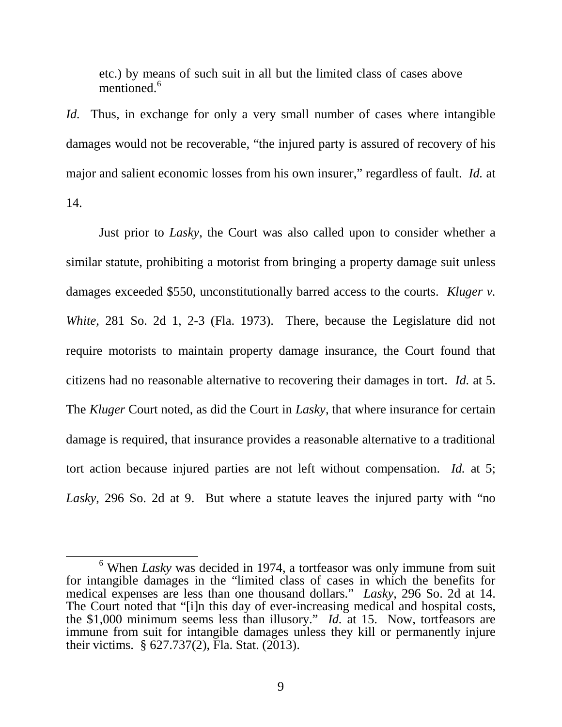etc.) by means of such suit in all but the limited class of cases above mentioned. [6](#page-11-0)

*Id.* Thus, in exchange for only a very small number of cases where intangible damages would not be recoverable, "the injured party is assured of recovery of his major and salient economic losses from his own insurer," regardless of fault. *Id.* at 14.

Just prior to *Lasky*, the Court was also called upon to consider whether a similar statute, prohibiting a motorist from bringing a property damage suit unless damages exceeded \$550, unconstitutionally barred access to the courts. *Kluger v. White*, 281 So. 2d 1, 2-3 (Fla. 1973). There, because the Legislature did not require motorists to maintain property damage insurance, the Court found that citizens had no reasonable alternative to recovering their damages in tort. *Id.* at 5. The *Kluger* Court noted, as did the Court in *Lasky*, that where insurance for certain damage is required, that insurance provides a reasonable alternative to a traditional tort action because injured parties are not left without compensation. *Id.* at 5; *Lasky*, 296 So. 2d at 9. But where a statute leaves the injured party with "no

<span id="page-11-0"></span> <sup>6</sup> When *Lasky* was decided in 1974, a tortfeasor was only immune from suit for intangible damages in the "limited class of cases in which the benefits for medical expenses are less than one thousand dollars." *Lasky*, 296 So. 2d at 14. The Court noted that "[i]n this day of ever-increasing medical and hospital costs, the \$1,000 minimum seems less than illusory." *Id.* at 15. Now, tortfeasors are immune from suit for intangible damages unless they kill or permanently injure their victims. § 627.737(2), Fla. Stat. (2013).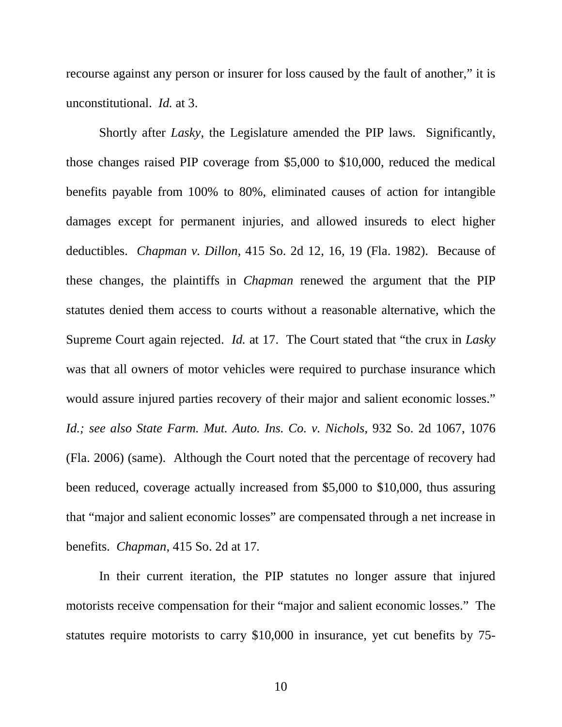recourse against any person or insurer for loss caused by the fault of another," it is unconstitutional. *Id.* at 3.

Shortly after *Lasky*, the Legislature amended the PIP laws. Significantly, those changes raised PIP coverage from \$5,000 to \$10,000, reduced the medical benefits payable from 100% to 80%, eliminated causes of action for intangible damages except for permanent injuries, and allowed insureds to elect higher deductibles. *Chapman v. Dillon*, 415 So. 2d 12, 16, 19 (Fla. 1982). Because of these changes, the plaintiffs in *Chapman* renewed the argument that the PIP statutes denied them access to courts without a reasonable alternative, which the Supreme Court again rejected. *Id.* at 17. The Court stated that "the crux in *Lasky* was that all owners of motor vehicles were required to purchase insurance which would assure injured parties recovery of their major and salient economic losses." *Id.; see also State Farm. Mut. Auto. Ins. Co. v. Nichols*, 932 So. 2d 1067, 1076 (Fla. 2006) (same). Although the Court noted that the percentage of recovery had been reduced, coverage actually increased from \$5,000 to \$10,000, thus assuring that "major and salient economic losses" are compensated through a net increase in benefits. *Chapman*, 415 So. 2d at 17*.*

In their current iteration, the PIP statutes no longer assure that injured motorists receive compensation for their "major and salient economic losses." The statutes require motorists to carry \$10,000 in insurance, yet cut benefits by 75-

10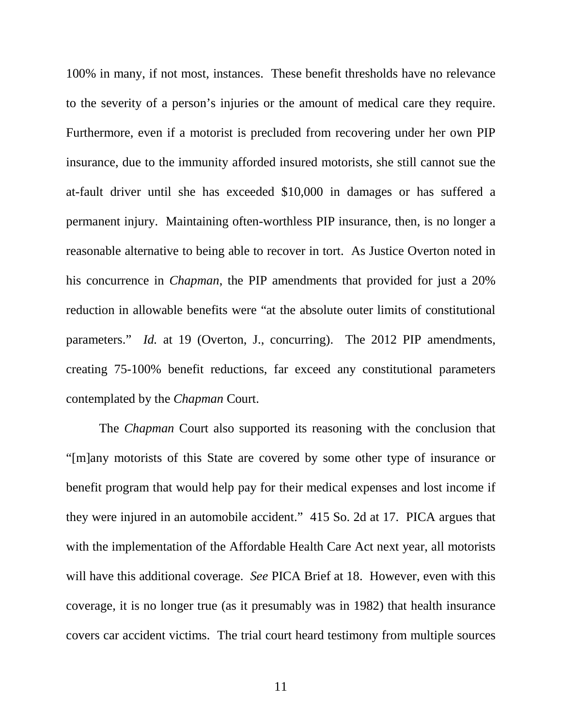100% in many, if not most, instances. These benefit thresholds have no relevance to the severity of a person's injuries or the amount of medical care they require. Furthermore, even if a motorist is precluded from recovering under her own PIP insurance, due to the immunity afforded insured motorists, she still cannot sue the at-fault driver until she has exceeded \$10,000 in damages or has suffered a permanent injury. Maintaining often-worthless PIP insurance, then, is no longer a reasonable alternative to being able to recover in tort. As Justice Overton noted in his concurrence in *Chapman*, the PIP amendments that provided for just a 20% reduction in allowable benefits were "at the absolute outer limits of constitutional parameters." *Id.* at 19 (Overton, J., concurring). The 2012 PIP amendments, creating 75-100% benefit reductions, far exceed any constitutional parameters contemplated by the *Chapman* Court.

The *Chapman* Court also supported its reasoning with the conclusion that "[m]any motorists of this State are covered by some other type of insurance or benefit program that would help pay for their medical expenses and lost income if they were injured in an automobile accident." 415 So. 2d at 17. PICA argues that with the implementation of the Affordable Health Care Act next year, all motorists will have this additional coverage. *See* PICA Brief at 18. However, even with this coverage, it is no longer true (as it presumably was in 1982) that health insurance covers car accident victims. The trial court heard testimony from multiple sources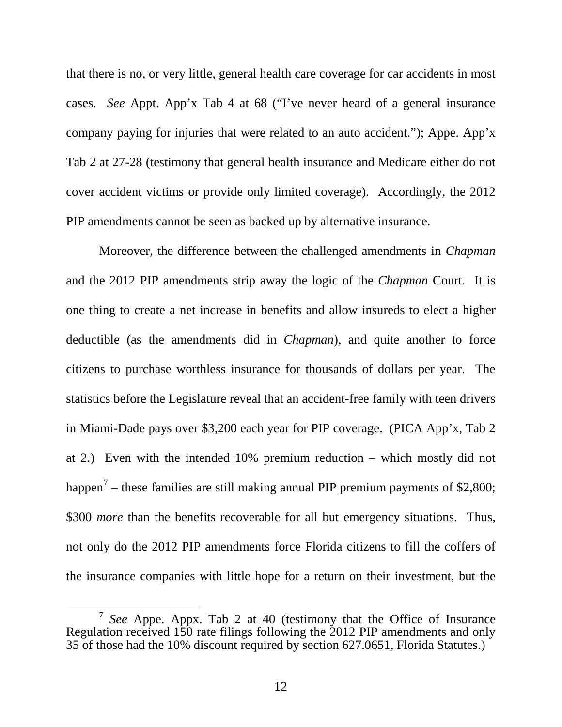that there is no, or very little, general health care coverage for car accidents in most cases. *See* Appt. App'x Tab 4 at 68 ("I've never heard of a general insurance company paying for injuries that were related to an auto accident."); Appe. App'x Tab 2 at 27-28 (testimony that general health insurance and Medicare either do not cover accident victims or provide only limited coverage). Accordingly, the 2012 PIP amendments cannot be seen as backed up by alternative insurance.

Moreover, the difference between the challenged amendments in *Chapman* and the 2012 PIP amendments strip away the logic of the *Chapman* Court. It is one thing to create a net increase in benefits and allow insureds to elect a higher deductible (as the amendments did in *Chapman*), and quite another to force citizens to purchase worthless insurance for thousands of dollars per year. The statistics before the Legislature reveal that an accident-free family with teen drivers in Miami-Dade pays over \$3,200 each year for PIP coverage. (PICA App'x, Tab 2 at 2.) Even with the intended 10% premium reduction – which mostly did not happen<sup>[7](#page-14-0)</sup> – these families are still making annual PIP premium payments of \$2,800; \$300 *more* than the benefits recoverable for all but emergency situations. Thus, not only do the 2012 PIP amendments force Florida citizens to fill the coffers of the insurance companies with little hope for a return on their investment, but the

<span id="page-14-0"></span><sup>&</sup>lt;sup>7</sup> *See* Appe. Appx. Tab 2 at 40 (testimony that the Office of Insurance Regulation received 150 rate filings following the 2012 PIP amendments and only 35 of those had the 10% discount required by section 627.0651, Florida Statutes.)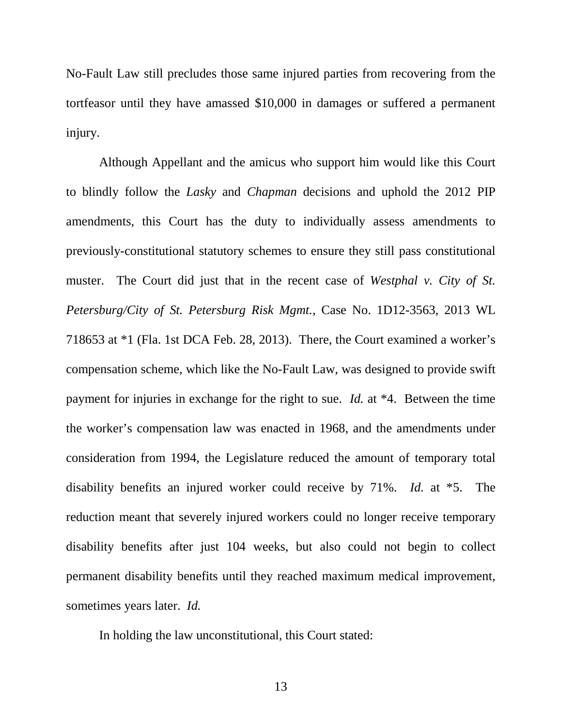No-Fault Law still precludes those same injured parties from recovering from the tortfeasor until they have amassed \$10,000 in damages or suffered a permanent injury.

Although Appellant and the amicus who support him would like this Court to blindly follow the *Lasky* and *Chapman* decisions and uphold the 2012 PIP amendments, this Court has the duty to individually assess amendments to previously-constitutional statutory schemes to ensure they still pass constitutional muster. The Court did just that in the recent case of *Westphal v. City of St. Petersburg/City of St. Petersburg Risk Mgmt.*, Case No. 1D12-3563, 2013 WL 718653 at \*1 (Fla. 1st DCA Feb. 28, 2013). There, the Court examined a worker's compensation scheme, which like the No-Fault Law, was designed to provide swift payment for injuries in exchange for the right to sue. *Id.* at \*4. Between the time the worker's compensation law was enacted in 1968, and the amendments under consideration from 1994, the Legislature reduced the amount of temporary total disability benefits an injured worker could receive by 71%. *Id.* at \*5. The reduction meant that severely injured workers could no longer receive temporary disability benefits after just 104 weeks, but also could not begin to collect permanent disability benefits until they reached maximum medical improvement, sometimes years later. *Id.*

In holding the law unconstitutional, this Court stated: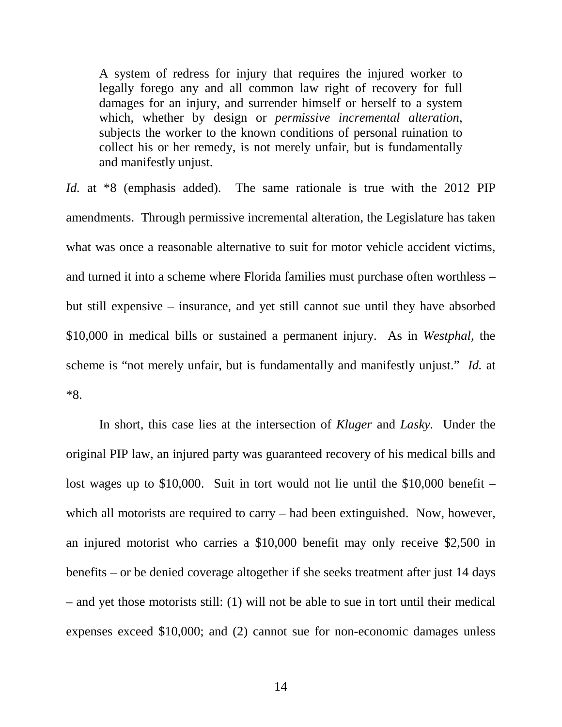A system of redress for injury that requires the injured worker to legally forego any and all common law right of recovery for full damages for an injury, and surrender himself or herself to a system which, whether by design or *permissive incremental alteration*, subjects the worker to the known conditions of personal ruination to collect his or her remedy, is not merely unfair, but is fundamentally and manifestly unjust.

*Id.* at \*8 (emphasis added). The same rationale is true with the 2012 PIP amendments. Through permissive incremental alteration, the Legislature has taken what was once a reasonable alternative to suit for motor vehicle accident victims, and turned it into a scheme where Florida families must purchase often worthless – but still expensive – insurance, and yet still cannot sue until they have absorbed \$10,000 in medical bills or sustained a permanent injury. As in *Westphal*, the scheme is "not merely unfair, but is fundamentally and manifestly unjust." *Id.* at \*8.

In short, this case lies at the intersection of *Kluger* and *Lasky.* Under the original PIP law, an injured party was guaranteed recovery of his medical bills and lost wages up to \$10,000. Suit in tort would not lie until the \$10,000 benefit – which all motorists are required to carry – had been extinguished. Now, however, an injured motorist who carries a \$10,000 benefit may only receive \$2,500 in benefits – or be denied coverage altogether if she seeks treatment after just 14 days – and yet those motorists still: (1) will not be able to sue in tort until their medical expenses exceed \$10,000; and (2) cannot sue for non-economic damages unless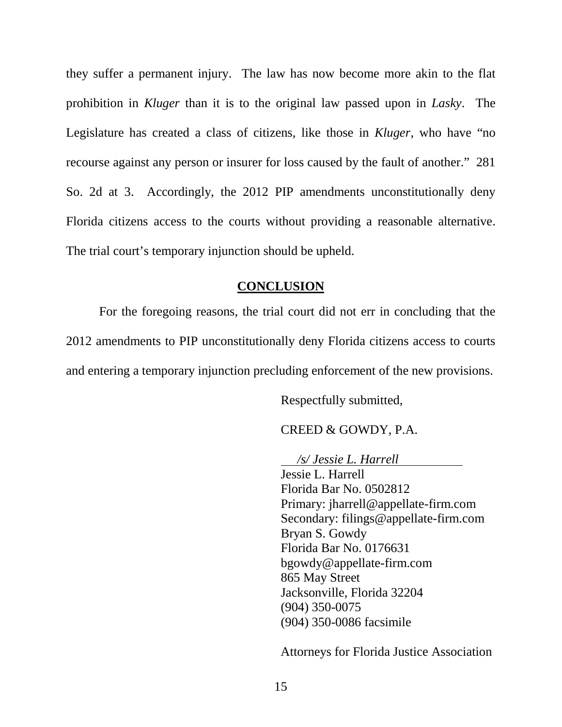they suffer a permanent injury. The law has now become more akin to the flat prohibition in *Kluger* than it is to the original law passed upon in *Lasky*. The Legislature has created a class of citizens, like those in *Kluger*, who have "no recourse against any person or insurer for loss caused by the fault of another." 281 So. 2d at 3. Accordingly, the 2012 PIP amendments unconstitutionally deny Florida citizens access to the courts without providing a reasonable alternative. The trial court's temporary injunction should be upheld.

#### **CONCLUSION**

For the foregoing reasons, the trial court did not err in concluding that the 2012 amendments to PIP unconstitutionally deny Florida citizens access to courts and entering a temporary injunction precluding enforcement of the new provisions.

Respectfully submitted,

CREED & GOWDY, P.A.

*/s/ Jessie L. Harrell*

Jessie L. Harrell Florida Bar No. 0502812 Primary: jharrell@appellate-firm.com Secondary: filings@appellate-firm.com Bryan S. Gowdy Florida Bar No. 0176631 bgowdy@appellate-firm.com 865 May Street Jacksonville, Florida 32204 (904) 350-0075 (904) 350-0086 facsimile

Attorneys for Florida Justice Association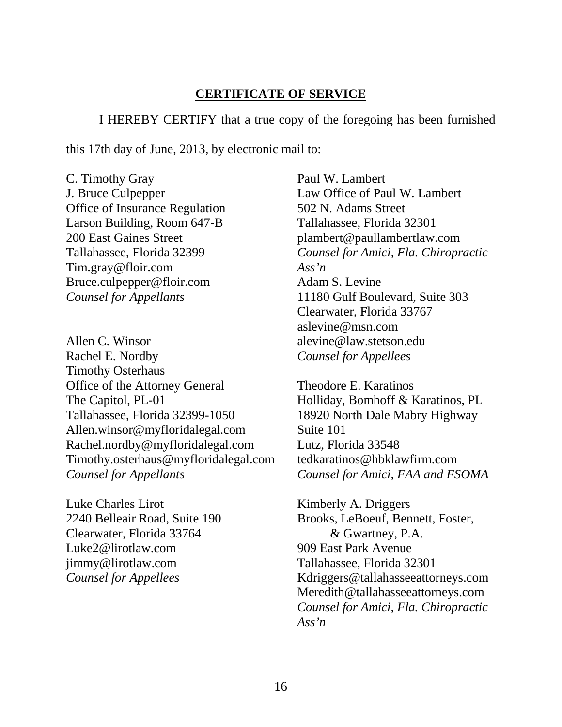## **CERTIFICATE OF SERVICE**

I HEREBY CERTIFY that a true copy of the foregoing has been furnished

this 17th day of June, 2013, by electronic mail to:

C. Timothy Gray Paul W. Lambert Office of Insurance Regulation 502 N. Adams Street Larson Building, Room 647-B Tallahassee, Florida 32301 Tim.gray@floir.com *Ass'n* Bruce.culpepper@floir.com Adam S. Levine

Allen C. Winsor alevine@law.stetson.edu Rachel E. Nordby *Counsel for Appellees* Timothy Osterhaus Office of the Attorney General Theodore E. Karatinos The Capitol, PL-01 Holliday, Bomhoff & Karatinos, PL Tallahassee, Florida 32399-1050 18920 North Dale Mabry Highway [Allen.winsor@myfloridalegal.com](mailto:Allen.winsor@myfloridalegal.com) Suite 101 [Rachel.nordby@myfloridalegal.com](mailto:Rachel.nordby@myfloridalegal.com) Lutz, Florida 33548 [Timothy.osterhaus@myfloridalegal.com](mailto:Timothy.osterhaus@myfloridalegal.com) tedkaratinos@hbklawfirm.com *Counsel for Appellants Counsel for Amici, FAA and FSOMA*

Luke Charles Lirot Kimberly A. Driggers Clearwater, Florida 33764 & Gwartney, P.A. [Luke2@lirotlaw.com](mailto:Luke2@lirotlaw.com) 909 East Park Avenue [jimmy@lirotlaw.com](mailto:jimmy@lirotlaw.com) Tallahassee, Florida 32301

J. Bruce Culpepper Law Office of Paul W. Lambert 200 East Gaines Street plambert@paullambertlaw.com Tallahassee, Florida 32399 *Counsel for Amici, Fla. Chiropractic Counsel for Appellants* 11180 Gulf Boulevard, Suite 303 Clearwater, Florida 33767 aslevine@msn.com

2240 Belleair Road, Suite 190 Brooks, LeBoeuf, Bennett, Foster, *Counsel for Appellees* [Kdriggers@tallahasseeattorneys.com](mailto:Kdriggers@tallahasseeattorneys.com) [Meredith@tallahasseeattorneys.com](mailto:Meredith@tallahasseeattorneys.com) *Counsel for Amici, Fla. Chiropractic Ass'n*